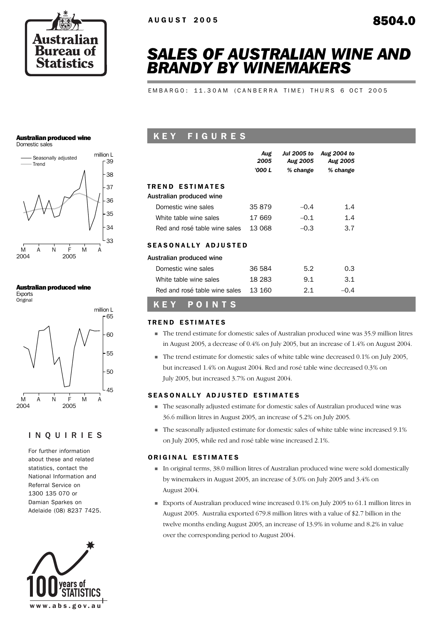

# *SALES OF AUSTRALIAN WINE AND BRANDY BY WINEMAKERS*

EMBARGO: 11.30AM (CANBERRA TIME) THURS 6 OCT 2005

#### Australian produced wine

Domestic sales



#### Australian produced wine

Exports **Original** 



### INQUIRIES

For further information about these and related statistics, contact the National Information and Referral Service on 1300 135 070 or Damian Sparkes on Adelaide (08) 8237 7425.



### K E Y F I G U R E S

|                               | Aug<br>2005<br>'000 L | <b>Jul 2005 to</b><br>Aug 2005<br>% change | Aug 2004 to<br><b>Aug 2005</b><br>% change |  |
|-------------------------------|-----------------------|--------------------------------------------|--------------------------------------------|--|
| <b>TREND ESTIMATES</b>        |                       |                                            |                                            |  |
| Australian produced wine      |                       |                                            |                                            |  |
| Domestic wine sales           | 35 879                | $-0.4$                                     | 1.4                                        |  |
| White table wine sales        | 17 669                | $-0.1$                                     | 1.4                                        |  |
| Red and rosé table wine sales | 13.068                | $-0.3$                                     | 3.7                                        |  |
| <b>SEASONALLY ADJUSTED</b>    |                       |                                            |                                            |  |
| Australian produced wine      |                       |                                            |                                            |  |
| Domestic wine sales           | 36 584                | 5.2                                        | 0.3                                        |  |
| White table wine sales        | 18 283                | 9.1                                        | 3.1                                        |  |
| Red and rosé table wine sales | 13 160                | 2.1                                        | $-0.4$                                     |  |
|                               |                       |                                            |                                            |  |

### K E Y P O I N T S

#### TREND ESTIMATES

- ! The trend estimate for domestic sales of Australian produced wine was 35.9 million litres in August 2005, a decrease of 0.4% on July 2005, but an increase of 1.4% on August 2004.
- ! The trend estimate for domestic sales of white table wine decreased 0.1% on July 2005, but increased 1.4% on August 2004. Red and rosé table wine decreased 0.3% on July 2005, but increased 3.7% on August 2004.

#### SEASONALLY ADJUSTED ESTIMATES

- ! The seasonally adjusted estimate for domestic sales of Australian produced wine was 36.6 million litres in August 2005, an increase of 5.2% on July 2005.
- ! The seasonally adjusted estimate for domestic sales of white table wine increased 9.1% on July 2005, while red and rosé table wine increased 2.1%.

#### ORIGINAL ESTIMATES

- ! In original terms, 38.0 million litres of Australian produced wine were sold domestically by winemakers in August 2005, an increase of 3.0% on July 2005 and 3.4% on August 2004.
- ! Exports of Australian produced wine increased 0.1% on July 2005 to 61.1 million litres in August 2005. Australia exported 679.8 million litres with a value of \$2.7 billion in the twelve months ending August 2005, an increase of 13.9% in volume and 8.2% in value over the corresponding period to August 2004.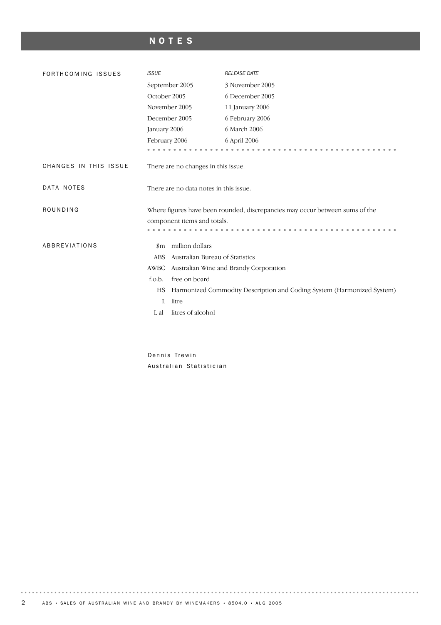## NOTES

| FORTHCOMING ISSUES    | <b>ISSUE</b>                                  | <b>RELEASE DATE</b>                                                          |
|-----------------------|-----------------------------------------------|------------------------------------------------------------------------------|
|                       | September 2005                                | 3 November 2005                                                              |
|                       | October 2005                                  | 6 December 2005                                                              |
|                       | November 2005                                 | 11 January 2006                                                              |
|                       | December 2005                                 | 6 February 2006                                                              |
|                       | January 2006                                  | 6 March 2006                                                                 |
|                       | February 2006                                 | 6 April 2006                                                                 |
|                       |                                               |                                                                              |
| CHANGES IN THIS ISSUE | There are no changes in this issue.           |                                                                              |
| DATA NOTES            | There are no data notes in this issue.        |                                                                              |
| ROUNDING              |                                               | Where figures have been rounded, discrepancies may occur between sums of the |
|                       | component items and totals.                   |                                                                              |
|                       |                                               |                                                                              |
| ABBREVIATIONS         | million dollars<br>$_{\rm sm}$                |                                                                              |
|                       | Australian Bureau of Statistics<br><b>ABS</b> |                                                                              |
|                       | <b>AWBC</b>                                   | Australian Wine and Brandy Corporation                                       |
|                       | free on board<br>f.o.b.                       |                                                                              |
|                       | HS                                            | Harmonized Commodity Description and Coding System (Harmonized System)       |
|                       | litre<br>L                                    |                                                                              |
|                       | litres of alcohol<br>L al                     |                                                                              |
|                       |                                               |                                                                              |

Dennis Trewin Australian Statistician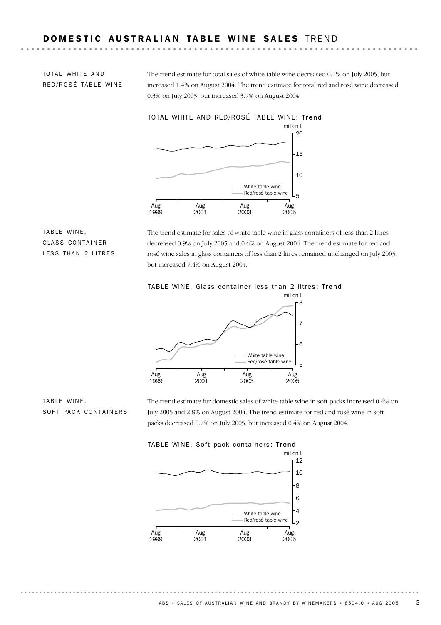### DOMESTIC AUSTRALIAN TABLE WINE SALES TREND

TOTAL WHITE AND RED/ROSÉ TABLE WINE The trend estimate for total sales of white table wine decreased 0.1% on July 2005, but increased 1.4% on August 2004. The trend estimate for total red and rosé wine decreased 0.3% on July 2005, but increased 3.7% on August 2004.



TABLE WINE, GLASS CONTAINER LESS THAN 2 LITRES

The trend estimate for sales of white table wine in glass containers of less than 2 litres decreased 0.9% on July 2005 and 0.6% on August 2004. The trend estimate for red and rosé wine sales in glass containers of less than 2 litres remained unchanged on July 2005, but increased 7.4% on August 2004.





TABLE WINE, SOFT PACK CONTAINERS The trend estimate for domestic sales of white table wine in soft packs increased 0.4% on July 2005 and 2.8% on August 2004. The trend estimate for red and rosé wine in soft packs decreased 0.7% on July 2005, but increased 0.4% on August 2004.



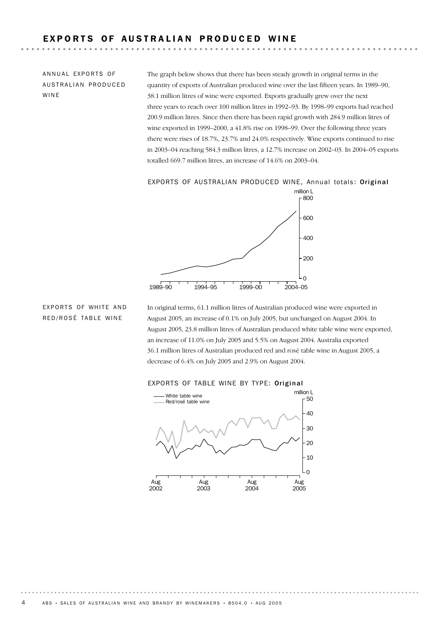### EXPORTS OF AUSTRALIAN PRODUCED WINE

ANNUAL EXPORTS OF AUSTRALIAN PRODUCED WINE

The graph below shows that there has been steady growth in original terms in the quantity of exports of Australian produced wine over the last fifteen years. In 1989–90, 38.1 million litres of wine were exported. Exports gradually grew over the next three years to reach over 100 million litres in 1992–93. By 1998–99 exports had reached 200.9 million litres. Since then there has been rapid growth with 284.9 million litres of wine exported in 1999–2000, a 41.8% rise on 1998–99. Over the following three years there were rises of 18.7%, 23.7% and 24.0% respectively. Wine exports continued to rise in 2003–04 reaching 584.3 million litres, a 12.7% increase on 2002–03. In 2004–05 exports totalled 669.7 million litres, an increase of 14.6% on 2003–04.

EXPORTS OF AUSTRALIAN PRODUCED WINE, Annual totals: Original



EXPORTS OF WHITE AND RED/ROSÉ TABLE WINE

In original terms, 61.1 million litres of Australian produced wine were exported in August 2005, an increase of 0.1% on July 2005, but unchanged on August 2004. In August 2005, 23.8 million litres of Australian produced white table wine were exported, an increase of 11.0% on July 2005 and 5.5% on August 2004. Australia exported 36.1 million litres of Australian produced red and rosé table wine in August 2005, a decrease of 6.4% on July 2005 and 2.9% on August 2004.



#### EXPORTS OF TABLE WINE BY TYPE: Original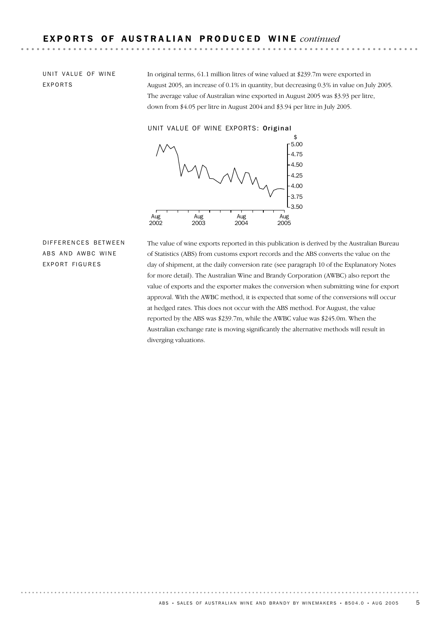UNIT VALUE OF WINE EXPORTS

In original terms, 61.1 million litres of wine valued at \$239.7m were exported in August 2005, an increase of 0.1% in quantity, but decreasing 0.3% in value on July 2005. The average value of Australian wine exported in August 2005 was \$3.93 per litre, down from \$4.05 per litre in August 2004 and \$3.94 per litre in July 2005.

UNIT VALUE OF WINE EXPORTS: Original



DIFFERENCES BETWEEN ABS AND AWBC WINE EXPORT FIGURES

The value of wine exports reported in this publication is derived by the Australian Bureau of Statistics (ABS) from customs export records and the ABS converts the value on the day of shipment, at the daily conversion rate (see paragraph 10 of the Explanatory Notes for more detail). The Australian Wine and Brandy Corporation (AWBC) also report the value of exports and the exporter makes the conversion when submitting wine for export approval. With the AWBC method, it is expected that some of the conversions will occur at hedged rates. This does not occur with the ABS method. For August, the value reported by the ABS was \$239.7m, while the AWBC value was \$245.0m. When the Australian exchange rate is moving significantly the alternative methods will result in diverging valuations.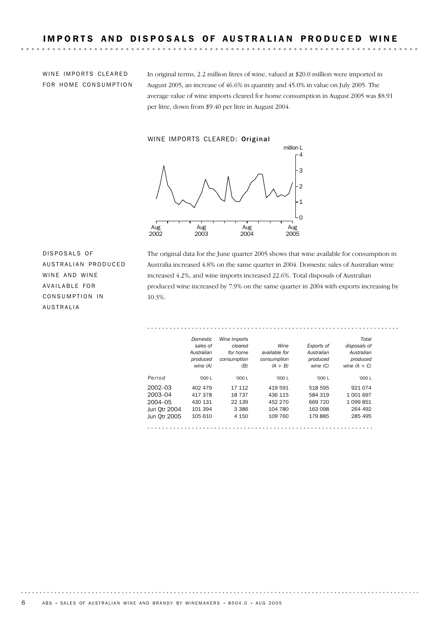WINE IMPORTS CLEARED FOR HOME CONSUMPTION

In original terms, 2.2 million litres of wine, valued at \$20.0 million were imported in August 2005, an increase of 46.6% in quantity and 45.0% in value on July 2005. The average value of wine imports cleared for home consumption in August 2005 was \$8.91 per litre, down from \$9.40 per litre in August 2004.

#### WINE IMPORTS CLEARED: Original



DISPOSALS OF AUSTRALIAN PRODUCED WINE AND WINE AVAILABLE FOR CONSUMPTION IN AUSTRALIA

The original data for the June quarter 2005 shows that wine available for consumption in Australia increased 4.8% on the same quarter in 2004. Domestic sales of Australian wine increased 4.2%, and wine imports increased 22.6%. Total disposals of Australian produced wine increased by 7.9% on the same quarter in 2004 with exports increasing by 10.3%.

#### *Total disposals of Australian produced Exports of Australian produced Wine available for consumption Wine imports cleared for home consumption Domestic sales of Australian produced*

|              | ,,,,,,,,,<br>wine $(A)$ | (B)     | $(A + B)$ | ,,,,,,,,,<br>wine $(C)$ | .<br>wine $(A + C)$ |
|--------------|-------------------------|---------|-----------|-------------------------|---------------------|
| Period       | '000 L                  | '000 L  | '000 L    | '000 L                  | '000 L              |
| $2002 - 03$  | 402 479                 | 17 112  | 419 591   | 518 595                 | 921 074             |
| 2003-04      | 417 378                 | 18737   | 436 115   | 584 319                 | 1 001 697           |
| 2004-05      | 430 131                 | 22 139  | 452 270   | 669 720                 | 1 099 851           |
| Jun Otr 2004 | 101 394                 | 3 3 8 6 | 104 780   | 163 098                 | 264 492             |
| Jun Otr 2005 | 105 610                 | 4 1 5 0 | 109 760   | 179885                  | 285 495             |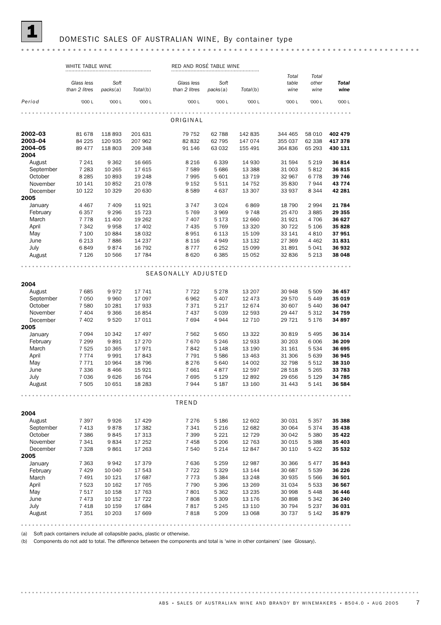#### DOMESTIC SALES OF AUSTRALIAN WINE, By container type

#### WHITE TABLE WINE **RED AND ROSÉ TABLE WINE** RED AND ROSÉ TABLE WINE *Total Total Glass less Soft Glass less Soft table other Total Total*(b) *packs*(a) *than 2 litres packs*(a) *Total*(b) *than 2 litres wine wine wine Period* '000 L '000 L '000 L '000 L '000 L '000 L '000 L '000 L '000 L ORIGINAL **2002–03** 81 678 118 893 201 631 79 752 62 788 142 835 344 465 58 010 **402 479**<br>**2003–04** 84 225 120 935 207 962 82 832 62 795 147 074 355 037 62 338 **417 378** 2002–03 81 678 118 893 201 631 79 752 62 788 142 835 344 465 58 010 402 479 **2004–05** 89 477 118 803 209 348 91 146 63 032 155 491 364 836 65 293 430 131 2004 August 7 241 9 362 16 665 8 216 6 339 14 930 31 594 5 219 **36 814** September 7 283 10 265 17 615 7 589 5 686 13 388 31 003 5 812 36 815 October 8 285 10 893 19 248 7 995 5 601 13 719 32 967 6 778 39 746<br>November 10 141 10 852 21 078 9 152 5 511 14 752 35 830 7 944 43 774 November 10 141 10 852 21 078 9 152 5 511 14 752 35 830 7 944 **43 774** December 10 122 10 329 20 630 8 589 4 637 13 307 33 937 8 344 42 281 2005 January 4 467 7 409 11 921 3 747 3 024 6 869 18 790 2 994 **21 784** February 6 357 9 296 15 723 5 769 3 969 9 748 25 470 3 885 **29 355** March 7 778 11 400 19 262 7 407 5 173 12 660 31 921 4 706 36 627 April 7 342 9 958 17 402 7 435 5 769 13 320 30 722 5 106 35 828<br>May 7 100 10 884 18 032 8 951 6 113 15 109 33 141 4 810 37 951 May 7 100 10 884 18 032 8 951 6 113 15 109 33 141 4 810 **37 951** June 6 213 7 886 14 237 8 116 4 949 13 132 27 369 4 462 31 831 July 6 849 9 874 16 792 8 777 6 252 15 099 31 891 5 041 36 932 August 7 126 10 566 17 784 8 620 6 385 15 052 32 836 5 213 38 048 SEASONALLY ADJUSTED 2004 August 7 685 9 972 17 741 7 722 5 278 13 207 30 948 5 509 36 457 September 7 050 9 960 17 097 6 962 5 407 12 473 29 570 5 449 35 019 October 7 580 10 281 17 933 7 371 5 217 12 674 30 607 5 440 36 047<br>
November 7 404 9 366 16 854 7 437 5 039 12 593 29 447 5 312 34 759<br>
December 7 402 9 520 17 011 7 694 4 944 12 710 29 721 5 176 34 897 November 7 404 9 366 16 854 7 437 5 039 12 593 29 447 5 312 **34 759** December 7 402 9 520 17 011 7 694 4 944 12 710 29 721 5 176 34 897 2005 January 7 094 10 342 17 497 7 562 5 650 13 322 30 819 5 495 36 314 February 7 299 9 891 17 270 7 670 5 246 12 933 30 203 6 006 36 209 March 7 525 10 365 17 971 7 842 5 148 13 190 31 161 5 534 36 695 April 7 774 9 991 17 843 7 791 5 586 13 463 31 306 5 639 36 945<br>May 7 771 10 964 18 796 8 276 5 640 14 002 32 798 5 512 38 310 May 7 771 10 964 18 796 8 276 5 640 14 002 32 798 5 512 **38 310** June 7 336 8 466 15 921 7 661 4 877 12 597 28 518 5 265 **33 783** July 7036 9626 16 764 7 695 5 129 12 892 29 656 5 129 34 785 August 7 505 10 651 18 283 7 944 5 187 13 160 31 443 5 141 36 584 TREND 2004 August 7 397 9 926 17 429 7 276 5 186 12 002 30 064 5 374 35 438<br>
October 7 386 9 845 17 313 7 399 5 221 12 729 30 042 5 380 35 422<br>
November 7 341 9 834 17 252 7 458 5 206 12 763 30 015 5 388 35 403<br>
December 7 328 9 861 August 7 397 9 926 17 429 7 276 5 186 12 602 30 031 5 357 35 388 September 7 413 9 878 17 382 7 341 5 216 12 682 30 064 5 374 35 438 November 7 341 9 834 17 252 7 458 5 206 12 763 30 015 5 388 35 403 December 7 328 9 861 17 263 7 540 5 214 12 847 30 110 5 422 35 532 2005 March 7 363 9 942 17 379 1 مرد المحمد العربية 17 122 5 122 13 144 130 687 5 539 **36 226**<br>17 129 10 040 17 543 17 722 5 329 13 144 30 687 5 539 **36 226**<br>17 13 5 384 13 248 30 935 5 566 **36 501** January 7 363 9 942 17 379 7 636 5 259 12 987 30 366 5 477 **35 843** February 7 429 10 040 17 543 7 722 5 329 13 144 30 687 5 539 36 226 April 7 523 10 162 17 765 7 790 5 396 13 269 31 034 5 533 36 567<br>May 7 517 10 158 17 763 7 801 5 362 13 235 30 998 5 448 36 446 May 7 517 10 158 17 763 7 801 5 362 13 235 30 998 5 448 **36 446** June 7 473 10 152 17 722 7 808 5 309 13 176 30 898 5 342 36 240 July 7 418 10 159 17 684 7 817 5 245 13 110 30 794 5 237 36 031 August 7 351 10 203 17 669 7 818 5 209 13 068 30 737 5 142 35 879

(a) Soft pack containers include all collapsible packs, plastic or otherwise.

(b) Components do not add to total. The difference between the components and total is 'wine in other containers' (see Glossary).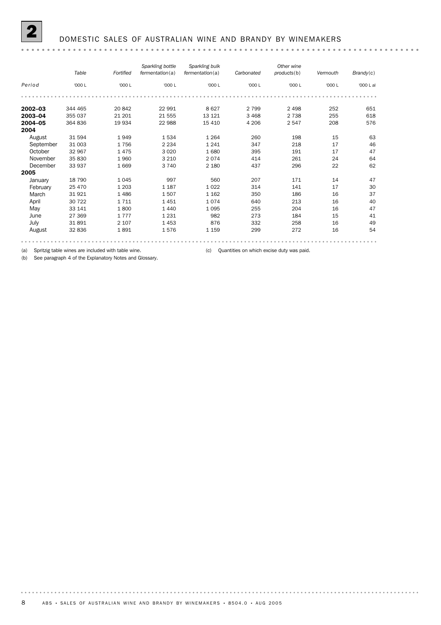#### 2 DOMESTIC SALES OF AUSTRALIAN WINE AND BRANDY BY WINEMAKERS

#### *Sparkling bottle Sparkling bulk Other wine Carbonated products*(b) *fermentation*(a) *Table Fortified fermentation*(a) *Vermouth Brandy*(c) *Period* '000 L '000 L '000 L '000 L '000 L '000 L '000 L '000 L al **2002–03** 344 465 20 842 22 991 8 627 2 799 2 498 252 651 **2003–04** 355 037 21 201 21 555 13 121 3 468 2 738 255 618 **2004–05** 364 836 19 934 22 988 15 410 4 206 2 547 208 576 2004 and<br>
August 31 594 1 949 1 534 1 264 260 198 15 63<br>
September 31 003 1 756 2 234 1 241 347 218 17 46 September 31 003 1 756 2 234 1 241 347 218 17 46<br>October 32 967 1 475 3 020 1 680 395 1 91 17 47 October 32 967 1 475 3 020 1 680 395 191 17 47 November 35 830 1960 3 210 2 074 414 261 24 64 December 33 937 1 669 3 740 2 180 437 296 22 62 2005<br>January January 18 790 1 045 997 560 207 171 14 47 February 25 470 1 203 1 187 1 022 314 141 17 30 March 31 921 1486 1 507 1 162 350 186 16 37 April 30 722 1 711 1 451 1 074 640 213 16 40 May 33 141 1 800 1 440 1 095 255 204 16 47 June 27 369 1 777 1 231 982 273 184 15 41 July 31 891 2 107 1 453 876 332 258 16 49 August 32 836 1 891 1 576 1 159 299 272 16 54

(a) Spritzig table wines are included with table wine. (c) Quantities on which excise duty was paid.

(b) See paragraph 4 of the Explanatory Notes and Glossary.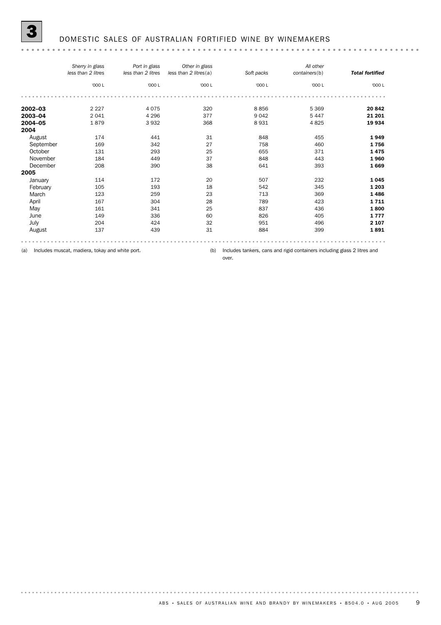|           | Sherry in glass<br>less than 2 litres | Port in glass<br>less than 2 litres | Other in glass<br>less than 2 litres(a) | Soft packs | All other<br>containers(b) | <b>Total fortified</b> |
|-----------|---------------------------------------|-------------------------------------|-----------------------------------------|------------|----------------------------|------------------------|
|           | '000 L                                | '000 L                              | '000 L                                  | '000 L     | '000 L                     | '000 L                 |
|           |                                       |                                     |                                         |            |                            |                        |
| 2002-03   | 2 2 2 7                               | 4075                                | 320                                     | 8856       | 5 3 6 9                    | 20 842                 |
| 2003-04   | 2041                                  | 4 2 9 6                             | 377                                     | 9 0 4 2    | 5 4 4 7                    | 21 201                 |
| 2004-05   | 1879                                  | 3932                                | 368                                     | 8931       | 4825                       | 19 934                 |
| 2004      |                                       |                                     |                                         |            |                            |                        |
| August    | 174                                   | 441                                 | 31                                      | 848        | 455                        | 1949                   |
| September | 169                                   | 342                                 | 27                                      | 758        | 460                        | 1756                   |
| October   | 131                                   | 293                                 | 25                                      | 655        | 371                        | 1475                   |
| November  | 184                                   | 449                                 | 37                                      | 848        | 443                        | 1960                   |
| December  | 208                                   | 390                                 | 38                                      | 641        | 393                        | 1669                   |
| 2005      |                                       |                                     |                                         |            |                            |                        |
| January   | 114                                   | 172                                 | 20                                      | 507        | 232                        | 1045                   |
| February  | 105                                   | 193                                 | 18                                      | 542        | 345                        | 1 2 0 3                |
| March     | 123                                   | 259                                 | 23                                      | 713        | 369                        | 1486                   |
| April     | 167                                   | 304                                 | 28                                      | 789        | 423                        | 1711                   |
| May       | 161                                   | 341                                 | 25                                      | 837        | 436                        | 1800                   |
| June      | 149                                   | 336                                 | 60                                      | 826        | 405                        | 1777                   |
| July      | 204                                   | 424                                 | 32                                      | 951        | 496                        | 2 1 0 7                |
| August    | 137                                   | 439                                 | 31                                      | 884        | 399                        | 1891                   |
|           |                                       |                                     |                                         |            |                            |                        |

(a) Includes muscat, madiera, tokay and white port.

(b) Includes tankers, cans and rigid containers including glass 2 litres and

over.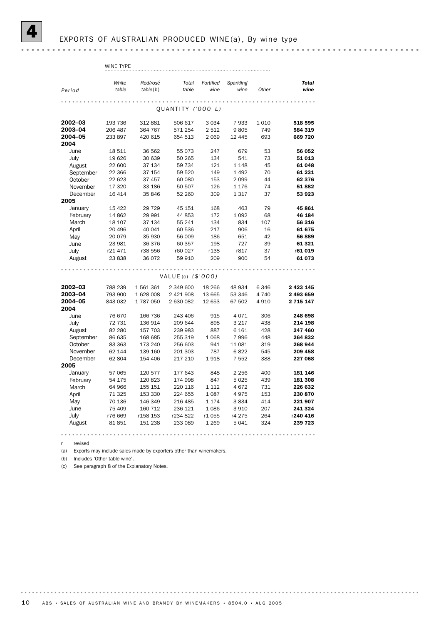|           | WINE TYPE      |                      |                      |                   |                   |         |                      |
|-----------|----------------|----------------------|----------------------|-------------------|-------------------|---------|----------------------|
|           |                |                      |                      |                   |                   |         |                      |
| Period    | White<br>table | Red/rosé<br>table(b) | Total<br>table       | Fortified<br>wine | Sparkling<br>wine | Other   | <b>Total</b><br>wine |
|           |                |                      |                      |                   |                   |         |                      |
|           |                |                      |                      |                   |                   |         |                      |
|           |                |                      | OUANTITY ('000 L)    |                   |                   |         |                      |
| 2002-03   | 193 736        | 312 881              | 506 617              | 3 0 3 4           | 7933              | 1 0 1 0 | 518 595              |
| 2003-04   | 206 487        | 364 767              | 571 254              | 2 5 1 2           | 9805              | 749     | 584 319              |
| 2004-05   | 233 897        | 420 615              | 654 513              | 2069              | 12 4 4 5          | 693     | 669 720              |
| 2004      |                |                      |                      |                   |                   |         |                      |
| June      | 18 511         | 36 562               | 55 073               | 247               | 679               | 53      | 56 052               |
| July      | 19626          | 30 639               | 50 265               | 134               | 541               | 73      | 51 013               |
| August    | 22 600         | 37 134               | 59 734               | 121               | 1 1 4 8           | 45      | 61 048               |
| September | 22 366         | 37 154               | 59 520               | 149               | 1 4 9 2           | 70      | 61 231               |
| October   | 22 623         | 37 457               | 60 080               | 153               | 2099              | 44      | 62 376               |
| November  | 17 320         | 33 186               | 50 507               | 126               | 1 1 7 6           | 74      | 51882                |
| December  | 16 4 14        | 35 846               | 52 260               | 309               | 1317              | 37      | 53 923               |
| 2005      |                |                      |                      |                   |                   |         |                      |
| January   | 15 4 22        | 29 7 29              | 45 151               | 168               | 463               | 79      | 45 861               |
| February  | 14 862         | 29 991               | 44 853               | 172               | 1092              | 68      | 46 184               |
| March     | 18 107         | 37 134               | 55 241               | 134               | 834               | 107     | 56 316               |
| April     | 20 49 6        | 40 041               | 60 536               | 217               | 906               | 16      | 61 675               |
| May       | 20 079         | 35 930               | 56 009               | 186               | 651               | 42      | 56 889               |
| June      | 23 981         | 36 376               | 60 357               | 198               | 727               | 39      | 61 321               |
| July      | r21 471        | r38 556              | r60 027              | r138              | r817              | 37      | r61 019              |
| August    | 23 838         | 36 072               | 59 910               | 209               | 900               | 54      | 61 073               |
|           |                |                      |                      |                   |                   |         |                      |
|           |                |                      | VALUE(c) $($ \$'000) |                   |                   |         |                      |
| 2002-03   | 788 239        | 1561361              | 2 349 600            | 18 26 6           | 48 934            | 6 3 4 6 | 2 4 2 3 1 4 5        |
| 2003-04   | 793 900        | 1 628 008            | 2 421 908            | 13 665            | 53 346            | 4 7 4 0 | 2 493 659            |
| 2004-05   | 843 032        | 1787050              | 2 630 082            | 12 653            | 67 502            | 4 9 1 0 | 2 7 1 5 1 4 7        |
| 2004      |                |                      |                      |                   |                   |         |                      |
| June      | 76 670         | 166 736              | 243 406              | 915               | 4071              | 306     | 248 698              |
| July      | 72 731         | 136 914              | 209 644              | 898               | 3 2 1 7           | 438     | 214 198              |
| August    | 82 280         | 157 703              | 239 983              | 887               | 6 1 6 1           | 428     | 247 460              |
| September | 86 635         | 168 685              | 255 319              | 1 0 6 8           | 7996              | 448     | 264 832              |
| October   | 83 363         | 173 240              | 256 603              | 941               | 11 081            | 319     | 268 944              |
| November  | 62 144         | 139 160              | 201 303              | 787               | 6822              | 545     | 209 458              |
| December  | 62 804         | 154 406              | 217 210              | 1918              | 7 5 5 2           | 388     | 227 068              |
| 2005      |                |                      |                      |                   |                   |         |                      |
| January   | 57 065         | 120 577              | 177 643              | 848               | 2 2 5 6           | 400     | 181 146              |
| February  | 54 175         | 120 823              | 174 998              | 847               | 5025              | 439     | 181 308              |
| March     | 64 966         | 155 151              | 220 116              | 1 1 1 2           | 4672              | 731     | 226 632              |
| April     | 71 325         | 153 330              | 224 655              | 1087              | 4975              | 153     | 230 870              |
| May       | 70 136         | 146 349              | 216 485              | 1 1 7 4           | 3834              | 414     | 221 907              |
| June      | 75 409         | 160 712              | 236 121              | 1086              | 3910              | 207     | 241 324              |
| July      | r76 669        | r158 153             | r234 822             | r1055             | r4 275            | 264     | r240 416             |
| August    | 81851          | 151 238              | 233 089              | 1 2 6 9           | 5041              | 324     | 239 723              |
|           |                |                      |                      |                   |                   |         |                      |

r revised

(a) Exports may include sales made by exporters other than winemakers.

(b) Includes 'Other table wine'.

(c) See paragraph 8 of the Explanatory Notes.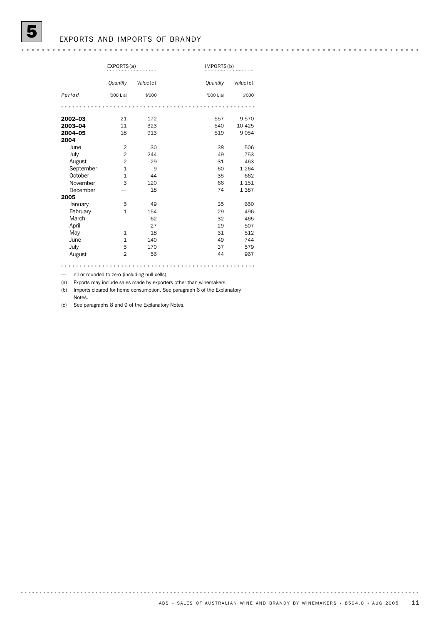### EXPORTS AND IMPORTS OF BRANDY

|           | EXPORTS(a)     |          |           | IMPORTS(b) |  |  |
|-----------|----------------|----------|-----------|------------|--|--|
|           | Quantity       | Value(c) | Quantity  | Value(c)   |  |  |
| Period    | '000 L al      | \$'000   | '000 L al | \$'000     |  |  |
|           |                |          |           |            |  |  |
| 2002-03   | 21             | 172      | 557       | 9570       |  |  |
| 2003-04   | 11             | 323      | 540       | 10 4 25    |  |  |
| 2004-05   | 18             | 913      | 519       | 9054       |  |  |
| 2004      |                |          |           |            |  |  |
| June      | $\overline{2}$ | 30       | 38        | 506        |  |  |
| July      | $\overline{2}$ | 244      | 49        | 753        |  |  |
| August    | $\overline{2}$ | 29       | 31        | 463        |  |  |
| September | $\mathbf{1}$   | 9        | 60        | 1 2 6 4    |  |  |
| October   | $\mathbf{1}$   | 44       | 35        | 662        |  |  |
| November  | 3              | 120      | 66        | 1 1 5 1    |  |  |
| December  |                | 18       | 74        | 1 3 8 7    |  |  |
| 2005      |                |          |           |            |  |  |
| January   | 5              | 49       | 35        | 650        |  |  |
| February  | $\mathbf{1}$   | 154      | 29        | 496        |  |  |
| March     |                | 62       | 32        | 465        |  |  |
| April     |                | 27       | 29        | 507        |  |  |
| May       | $\mathbf{1}$   | 18       | 31        | 512        |  |  |
| June      | $\mathbf{1}$   | 140      | 49        | 744        |  |  |
| July      | 5              | 170      | 37        | 579        |  |  |
| August    | $\overline{2}$ | 56       | 44        | 967        |  |  |

— nil or rounded to zero (including null cells)

(a) Exports may include sales made by exporters other than winemakers.

(b) Imports cleared for home consumption. See paragraph 6 of the Explanatory Notes.

(c) See paragraphs 8 and 9 of the Explanatory Notes.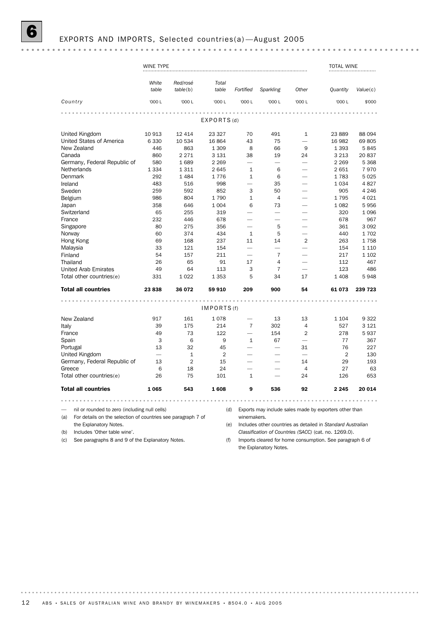### 6 EXPORTS AND IMPORTS, Selected countries(a) —August 2005

|                                                                     | <b>WINE TYPE</b>         |                      |                |                          |                          |                          | TOTAL WINE                                                  |          |
|---------------------------------------------------------------------|--------------------------|----------------------|----------------|--------------------------|--------------------------|--------------------------|-------------------------------------------------------------|----------|
|                                                                     | White<br>table           | Red/rosé<br>table(b) | Total<br>table | Fortified                | Sparkling                | Other                    | <b>Quantity</b>                                             | Value(c) |
| Country                                                             | '000 L                   | '000 L               | '000 L         | '000 L                   | '000 L                   | '000 L                   | '000 L                                                      | \$'000   |
|                                                                     |                          |                      |                |                          |                          |                          |                                                             |          |
|                                                                     |                          |                      | EXPORTS(d)     |                          |                          |                          |                                                             |          |
| United Kingdom                                                      | 10 913                   | 12 4 14              | 23 3 27        | 70                       | 491                      | $\mathbf{1}$             | 23 889                                                      | 88 094   |
| United States of America                                            | 6 3 3 0                  | 10 534               | 16864          | 43                       | 75                       | $\overline{\phantom{0}}$ | 16 982                                                      | 69805    |
| New Zealand                                                         | 446                      | 863                  | 1 3 0 9        | 8                        | 66                       | 9                        | 1 3 9 3                                                     | 5845     |
| Canada                                                              | 860                      | 2 2 7 1              | 3 1 3 1        | 38                       | 19                       | 24                       | 3 2 1 3                                                     | 20837    |
| Germany, Federal Republic of                                        | 580                      | 1689                 | 2 2 6 9        |                          |                          |                          | 2 2 6 9                                                     | 5 3 6 8  |
| Netherlands                                                         | 1 3 3 4                  | 1311                 | 2 6 4 5        | $\mathbf{1}$             | 6                        |                          | 2651                                                        | 7970     |
| Denmark                                                             | 292                      | 1 4 8 4              | 1776           | $\mathbf{1}$             | 6                        |                          | 1783                                                        | 5025     |
| Ireland                                                             | 483                      | 516                  | 998            | L.                       | 35                       |                          | 1 0 3 4                                                     | 4827     |
| Sweden                                                              | 259                      | 592                  | 852            | 3                        | 50                       |                          | 905                                                         | 4 2 4 6  |
|                                                                     |                          |                      |                |                          |                          |                          |                                                             |          |
| Belgium                                                             | 986                      | 804                  | 1790           | $\mathbf{1}$             | 4                        |                          | 1795                                                        | 4 0 2 1  |
| Japan                                                               | 358                      | 646                  | 1 0 0 4        | 6                        | 73                       | $\overline{\phantom{0}}$ | 1 0 8 2                                                     | 5956     |
| Switzerland                                                         | 65                       | 255                  | 319            |                          | $\overline{\phantom{0}}$ |                          | 320                                                         | 1096     |
| France                                                              | 232                      | 446                  | 678            |                          |                          |                          | 678                                                         | 967      |
| Singapore                                                           | 80                       | 275                  | 356            |                          | 5                        |                          | 361                                                         | 3 0 9 2  |
| Norway                                                              | 60                       | 374                  | 434            | $\mathbf{1}$             | 5                        |                          | 440                                                         | 1702     |
| Hong Kong                                                           | 69                       | 168                  | 237            | 11                       | 14                       | $\overline{2}$           | 263                                                         | 1758     |
| Malaysia                                                            | 33                       | 121                  | 154            |                          | $\overline{\phantom{0}}$ |                          | 154                                                         | 1 1 1 0  |
| Finland                                                             | 54                       | 157                  | 211            |                          | $\overline{7}$           |                          | 217                                                         | 1 1 0 2  |
| Thailand                                                            | 26                       | 65                   | 91             | 17                       | $\overline{4}$           |                          | 112                                                         | 467      |
| <b>United Arab Emirates</b>                                         | 49                       | 64                   | 113            | 3                        | $\overline{7}$           |                          | 123                                                         | 486      |
| Total other countries(e)                                            | 331                      | 1022                 | 1 3 5 3        | 5                        | 34                       | 17                       | 1 4 0 8                                                     | 5948     |
| <b>Total all countries</b>                                          | 23838                    | 36 072               | 59 910         | 209                      | 900                      | 54                       | 61073                                                       | 239 723  |
|                                                                     | $-0.0001$                |                      | .              |                          |                          |                          |                                                             |          |
|                                                                     |                          |                      | IMPORTS (f)    |                          |                          |                          |                                                             |          |
| New Zealand                                                         | 917                      | 161                  | 1078           |                          | 13                       | 13                       | 1 1 0 4                                                     | 9322     |
| Italy                                                               | 39                       | 175                  | 214            | $\overline{7}$           | 302                      | 4                        | 527                                                         | 3 1 2 1  |
| France                                                              | 49                       | 73                   | 122            | $\overline{\phantom{0}}$ | 154                      | $\overline{2}$           | 278                                                         | 5937     |
| Spain                                                               | 3                        | 6                    | 9              | $\mathbf{1}$             | 67                       | $\overline{\phantom{0}}$ | 77                                                          | 367      |
| Portugal                                                            | 13                       | 32                   | 45             |                          | $\overline{\phantom{0}}$ | 31                       | 76                                                          | 227      |
| United Kingdom                                                      | $\overline{\phantom{0}}$ | $\mathbf{1}$         | $\overline{2}$ |                          | -                        | -                        | $\overline{2}$                                              | 130      |
| Germany, Federal Republic of                                        | 13                       | 2                    | 15             |                          |                          | 14                       | 29                                                          | 193      |
| Greece                                                              | 6                        | 18                   | 24             |                          |                          | $\overline{4}$           | 27                                                          | 63       |
| Total other countries(e)                                            | 26                       | 75                   | 101            | 1                        |                          | 24                       | 126                                                         | 653      |
| <b>Total all countries</b>                                          | 1065                     | 543                  | 1608           | 9                        | 536                      | 92                       | 2 2 4 5                                                     | 20 014   |
|                                                                     |                          | $- - - - -$          |                |                          |                          | 0.0.0                    |                                                             |          |
| nil or rounded to zero (including null cells)                       |                          |                      | (d)            |                          |                          |                          | Exports may include sales made by exporters other than      |          |
| (a)<br>For details on the selection of countries see paragraph 7 of |                          |                      |                | winemakers.              |                          |                          |                                                             |          |
| the Explanatory Notes.                                              |                          |                      | (e)            |                          |                          |                          | Includes other countries as detailed in Standard Australian |          |

(b) Includes 'Other table wine'.

(c) See paragraphs 8 and 9 of the Explanatory Notes.

(e) Includes other countries as detailed in *Standard Australian Classification of Countries (SACC)* (cat. no. 1269.0).

(f) Imports cleared for home consumption. See paragraph 6 of the Explanatory Notes.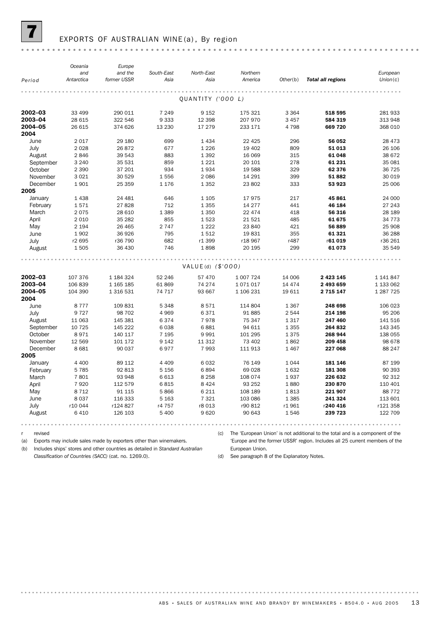

### EXPORTS OF AUSTRALIAN WINE (a), By region

|                 | Oceania           | Europe                 |                    |                     |                     |          |                          |                      |
|-----------------|-------------------|------------------------|--------------------|---------------------|---------------------|----------|--------------------------|----------------------|
| Period          | and<br>Antarctica | and the<br>former USSR | South-East<br>Asia | North-East<br>Asia  | Northern<br>America | Other(b) | <b>Total all regions</b> | European<br>Union(c) |
|                 |                   |                        |                    |                     |                     |          |                          |                      |
|                 |                   |                        |                    | QUANTITY ('000 L)   |                     |          |                          |                      |
|                 |                   |                        |                    |                     |                     |          |                          |                      |
| $2002 - 03$     | 33 499            | 290 011                | 7 2 4 9            | 9 1 5 2             | 175 321             | 3 3 6 4  | 518 595                  | 281 933              |
| 2003-04         | 28 615            | 322 546                | 9 3 3 3            | 12 3 98             | 207 970             | 3 4 5 7  | 584 319                  | 313 948              |
| 2004-05<br>2004 | 26 615            | 374 626                | 13 2 30            | 17 279              | 233 171             | 4798     | 669 720                  | 368 010              |
|                 |                   |                        |                    |                     |                     |          |                          |                      |
| June            | 2 0 1 7           | 29 180                 | 699                | 1434                | 22 4 25             | 296      | 56 052                   | 28 473               |
| July            | 2 0 2 8           | 26 872                 | 677                | 1 2 2 6             | 19 402              | 809      | 51 013                   | 26 106               |
| August          | 2846              | 39 543                 | 883                | 1 3 9 2             | 16 069              | 315      | 61 048                   | 38 672               |
| September       | 3 2 4 0           | 35 531                 | 859                | 1 2 2 1             | 20 10 1             | 278      | 61 231                   | 35 081               |
| October         | 2 3 9 0           | 37 201                 | 934                | 1934                | 19 588              | 329      | 62 376                   | 36 725<br>30 019     |
| November        | 3 0 2 1           | 30 529                 | 1556               | 2 0 8 6             | 14 29 1             | 399      | 51882                    |                      |
| December        | 1901              | 25 35 9                | 1 1 7 6            | 1 3 5 2             | 23 802              | 333      | 53 923                   | 25 006               |
| 2005            |                   |                        |                    |                     |                     |          |                          |                      |
| January         | 1 4 3 8           | 24 481                 | 646                | 1 1 0 5             | 17975               | 217      | 45 861                   | 24 000               |
| February        | 1571              | 27828                  | 712                | 1 3 5 5             | 14 277              | 441      | 46 184                   | 27 243<br>28 189     |
| March           | 2075              | 28 610                 | 1 3 8 9            | 1 3 5 0             | 22 474              | 418      | 56 316                   |                      |
| April           | 2 0 1 0           | 35 28 2                | 855                | 1523                | 21 5 21             | 485      | 61 675                   | 34 773               |
| May             | 2 1 9 4           | 26 4 65                | 2 7 4 7            | 1 2 2 2             | 23 840              | 421      | 56 889                   | 25 908               |
| June            | 1902              | 36 926                 | 795                | 1512                | 19831               | 355      | 61 321                   | 36 288               |
| July            | r2 695            | r36 790                | 682                | r1 399              | r18 967             | r487     | r61019                   | r36 261              |
| August          | 1505              | 36 430                 | 746                | 1898                | 20 195              | 299      | 61 073                   | 35 549               |
|                 |                   |                        |                    |                     |                     |          |                          |                      |
|                 |                   |                        |                    | $VALUE(d)$ (\$'000) |                     |          |                          |                      |
| 2002-03         | 107 376           | 1 184 324              | 52 246             | 57 470              | 1 007 724           | 14 006   | 2 4 2 3 1 4 5            | 1 141 847            |
| 2003-04         | 106839            | 1 165 185              | 61869              | 74 274              | 1071017             | 14 4 7 4 | 2 493 659                | 1 133 062            |
| 2004-05         | 104 390           | 1 316 531              | 74 717             | 93 667              | 1 106 231           | 19 611   | 2 7 1 5 1 4 7            | 1 287 7 25           |
| 2004            |                   |                        |                    |                     |                     |          |                          |                      |
| June            | 8 7 7 7           | 109831                 | 5 3 4 8            | 8571                | 114 804             | 1 3 6 7  | 248 698                  | 106 023              |
| July            | 9 7 2 7           | 98 702                 | 4 9 6 9            | 6371                | 91 885              | 2 5 4 4  | 214 198                  | 95 206               |
| August          | 11 063            | 145 381                | 6374               | 7978                | 75 347              | 1317     | 247 460                  | 141 516              |
| September       | 10 7 25           | 145 222                | 6038               | 6881                | 94 611              | 1 3 5 5  | 264 832                  | 143 345              |
| October         | 8971              | 140 117                | 7 1 9 5            | 9991                | 101 295             | 1375     | 268 944                  | 138 055              |
| November        | 12 569            | 101 172                | 9 1 4 2            | 11 312              | 73 402              | 1862     | 209 458                  | 98 678               |
| December        | 8 6 8 1           | 90 037                 | 6977               | 7993                | 111 913             | 1467     | 227 068                  | 88 247               |
| 2005            |                   |                        |                    |                     |                     |          |                          |                      |
| January         | 4 4 0 0           | 89 112                 | 4 4 0 9            | 6032                | 76 149              | 1044     | 181 146                  | 87 199               |
| February        | 5 7 8 5           | 92 813                 | 5 1 5 6            | 6894                | 69 0 28             | 1632     | 181 308                  | 90 393               |
| March           | 7801              | 93 948                 | 6613               | 8 2 5 8             | 108 074             | 1937     | 226 632                  | 92 312               |
| April           | 7920              | 112 579                | 6815               | 8 4 2 4             | 93 25 2             | 1880     | 230 870                  | 110 401              |
| May             | 8 7 1 2           | 91 115                 | 5866               | 6 2 1 1             | 108 189             | 1813     | 221 907                  | 88 772               |
| June            | 8 0 3 7           | 116 333                | 5 1 6 3            | 7 3 2 1             | 103 086             | 1 3 8 5  | 241 324                  | 113 601              |
| July            | r10 044           | r124 827               | r4 757             | r8 013              | r90 812             | r1961    | r240 416                 | r121 358             |
| August          | 6 4 1 0           | 126 103                | 5 400              | 9620                | 90 643              | 1546     | 239 723                  | 122 709              |
|                 |                   |                        |                    |                     |                     |          |                          |                      |

r revised

. . . . . . . .

(a) Exports may include sales made by exporters other than winemakers.

(c) The 'European Union' is not additional to the total and is a component of the

(b) Includes ships' stores and other countries as detailed in *Standard Australian*

*Classification of Countries (SACC)* (cat. no. 1269.0).

'Europe and the former USSR' region. Includes all 25 current members of the European Union.

(d) See paragraph 8 of the Explanatory Notes.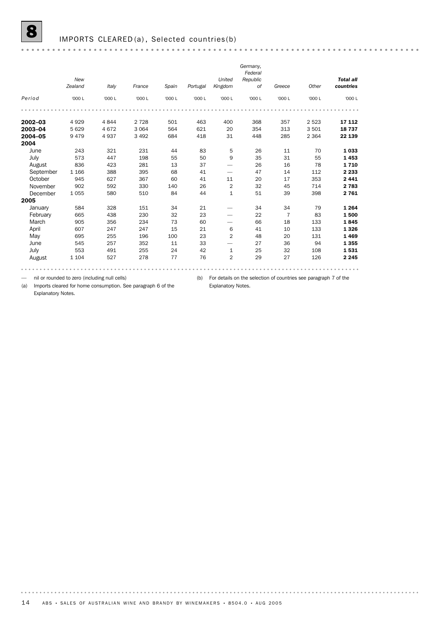### IMPORTS CLEARED(a), Selected countries(b)

|             | New<br>Zealand | Italy   | France  | Spain  | Portugal | United<br>Kingdom | Germany,<br>Federal<br>Republic<br>of | Greece         | Other   | <b>Total all</b><br>countries |
|-------------|----------------|---------|---------|--------|----------|-------------------|---------------------------------------|----------------|---------|-------------------------------|
| Period      | '000 L         | '000 L  | '000 L  | '000 L | '000 L   | '000 L            | '000 L                                | '000 L         | '000 L  | '000 L                        |
|             |                |         |         |        |          |                   |                                       |                |         |                               |
| $2002 - 03$ | 4929           | 4844    | 2 7 2 8 | 501    | 463      | 400               | 368                                   | 357            | 2523    | 17 112                        |
| 2003-04     | 5 6 2 9        | 4 6 7 2 | 3 0 6 4 | 564    | 621      | 20                | 354                                   | 313            | 3501    | 18737                         |
| 2004-05     | 9479           | 4937    | 3 4 9 2 | 684    | 418      | 31                | 448                                   | 285            | 2 3 6 4 | 22 139                        |
| 2004        |                |         |         |        |          |                   |                                       |                |         |                               |
| June        | 243            | 321     | 231     | 44     | 83       | 5                 | 26                                    | 11             | 70      | 1 0 3 3                       |
| July        | 573            | 447     | 198     | 55     | 50       | 9                 | 35                                    | 31             | 55      | 1453                          |
| August      | 836            | 423     | 281     | 13     | 37       | -                 | 26                                    | 16             | 78      | 1710                          |
| September   | 1 1 6 6        | 388     | 395     | 68     | 41       |                   | 47                                    | 14             | 112     | 2 2 3 3                       |
| October     | 945            | 627     | 367     | 60     | 41       | 11                | 20                                    | 17             | 353     | 2 4 4 1                       |
| November    | 902            | 592     | 330     | 140    | 26       | $\overline{2}$    | 32                                    | 45             | 714     | 2 7 8 3                       |
| December    | 1055           | 580     | 510     | 84     | 44       | $\mathbf{1}$      | 51                                    | 39             | 398     | 2761                          |
| 2005        |                |         |         |        |          |                   |                                       |                |         |                               |
| January     | 584            | 328     | 151     | 34     | 21       |                   | 34                                    | 34             | 79      | 1 2 6 4                       |
| February    | 665            | 438     | 230     | 32     | 23       |                   | 22                                    | $\overline{7}$ | 83      | 1500                          |
| March       | 905            | 356     | 234     | 73     | 60       |                   | 66                                    | 18             | 133     | 1845                          |
| April       | 607            | 247     | 247     | 15     | 21       | 6                 | 41                                    | 10             | 133     | 1 3 2 6                       |
| May         | 695            | 255     | 196     | 100    | 23       | $\overline{2}$    | 48                                    | 20             | 131     | 1 4 6 9                       |
| June        | 545            | 257     | 352     | 11     | 33       |                   | 27                                    | 36             | 94      | 1 3 5 5                       |
| July        | 553            | 491     | 255     | 24     | 42       | $\mathbf{1}$      | 25                                    | 32             | 108     | 1531                          |
| August      | 1 1 0 4        | 527     | 278     | 77     | 76       | $\overline{2}$    | 29                                    | 27             | 126     | 2 2 4 5                       |
|             |                |         |         |        |          |                   |                                       |                |         |                               |

— nil or rounded to zero (including null cells)

(b) For details on the selection of countries see paragraph 7 of the

Explanatory Notes.

(a) Imports cleared for home consumption. See paragraph 6 of the Explanatory Notes.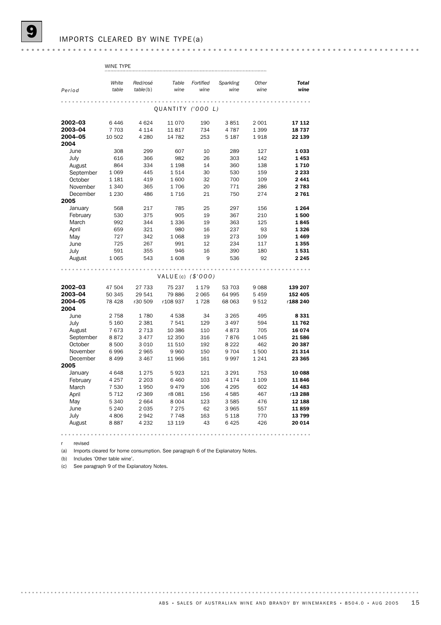| $\frac{1}{2}$ |  |
|---------------|--|
|               |  |

|                  | <b>WINE TYPE</b> |          |                      |           |           |         |              |
|------------------|------------------|----------|----------------------|-----------|-----------|---------|--------------|
|                  |                  |          |                      |           |           |         |              |
|                  | White            | Red/rosé | Table                | Fortified | Sparkling | Other   | <b>Total</b> |
| Period           | table            | table(b) | wine                 | wine      | wine      | wine    | wine         |
|                  |                  |          |                      |           |           |         |              |
|                  |                  |          | QUANTITY ('000 L)    |           |           |         |              |
|                  |                  |          |                      |           |           |         |              |
| 2002-03          | 6446             | 4 6 24   | 11070                | 190       | 3851      | 2 0 0 1 | 17 112       |
| 2003-04          | 7 7 0 3          | 4 1 1 4  | 11817                | 734       | 4787      | 1 3 9 9 | 18737        |
| 2004-05          | 10 502           | 4 2 8 0  | 14 7 8 2             | 253       | 5 187     | 1918    | 22 139       |
| 2004             |                  |          |                      |           |           |         |              |
| June             | 308              | 299      | 607                  | 10        | 289       | 127     | 1 0 3 3      |
| July             | 616              | 366      | 982                  | 26        | 303       | 142     | 1453         |
| August           | 864              | 334      | 1 1 9 8              | 14        | 360       | 138     | 1710         |
| September        | 1 0 6 9          | 445      | 1514                 | 30        | 530       | 159     | 2 2 3 3      |
| October          | 1 1 8 1          | 419      | 1600                 | 32        | 700       | 109     | 2 4 4 1      |
| November         | 1 3 4 0          | 365      | 1706                 | 20        | 771       | 286     | 2 7 8 3      |
| December         | 1 2 3 0          | 486      | 1716                 | 21        | 750       | 274     | 2 7 6 1      |
| 2005             |                  |          |                      |           |           |         |              |
| January          | 568              | 217      | 785                  | 25        | 297       | 156     | 1 2 6 4      |
| February         | 530              | 375      | 905                  | 19        | 367       | 210     | 1500         |
| March            | 992              | 344      | 1336                 | 19        | 363       | 125     | 1845         |
| April            | 659              | 321      | 980                  | 16        | 237       | 93      | 1 3 2 6      |
| May              | 727              | 342      | 1 0 6 8              | 19        | 273       | 109     | 1469         |
| June             | 725              | 267      | 991                  | 12        | 234       | 117     | 1355         |
| July             | 591              | 355      | 946                  | 16        | 390       | 180     | 1531         |
| August           | 1065             | 543      | 1608                 | 9         | 536       | 92      | 2 2 4 5      |
|                  |                  |          |                      |           |           |         |              |
|                  |                  |          | VALUE(c) $($ \$'000) |           |           |         |              |
|                  |                  |          |                      |           |           |         |              |
| 2002-03          | 47 504           | 27 733   | 75 237               | 1 1 7 9   | 53 703    | 9088    | 139 207      |
| 2003-04          | 50 345           | 29 541   | 79 886               | 2 0 6 5   | 64 995    | 5 4 5 9 | 152 405      |
| 2004-05          | 78 4 28          | r30 509  | r108 937             | 1728      | 68 063    | 9512    | r188 240     |
| 2004             |                  |          |                      |           |           |         |              |
| June             | 2 7 5 8          | 1780     | 4538                 | 34        | 3 2 6 5   | 495     | 8 3 3 1      |
| July             | 5 1 6 0          | 2 3 8 1  | 7541                 | 129       | 3 4 9 7   | 594     | 11762        |
| August           | 7673             | 2 7 1 3  | 10 386               | 110       | 4873      | 705     | 16 074       |
| September        | 8872             | 3 4 7 7  | 12 350               | 316       | 7876      | 1045    | 21586        |
| October          | 8500             | 3 0 1 0  | 11510                | 192       | 8 2 2 2   | 462     | 20 387       |
| November         | 6996             | 2 9 6 5  | 9960                 | 150       | 9 7 0 4   | 1500    | 21 314       |
| December<br>2005 | 8 4 9 9          | 3 4 6 7  | 11 966               | 161       | 9997      | 1241    | 23 365       |
| January          | 4648             | 1 2 7 5  | 5923                 | 121       | 3 2 9 1   | 753     | 10 088       |
| February         | 4 2 5 7          | 2 2 0 3  | 6460                 | 103       | 4 174     | 1 1 0 9 | 11846        |
| March            | 7 5 3 0          | 1950     | 9479                 | 106       | 4 2 9 5   | 602     | 14 4 83      |
| April            | 5712             | r2 369   | r8 081               | 156       | 4585      | 467     | r13 288      |
| May              | 5 3 4 0          | 2 6 6 4  | 8 0 0 4              | 123       | 3 5 8 5   | 476     | 12 188       |
| June             | 5 2 4 0          | 2 0 3 5  | 7 2 7 5              | 62        | 3 9 6 5   | 557     | 11859        |
| July             | 4806             | 2942     | 7 7 4 8              | 163       | 5 1 1 8   | 770     | 13799        |
| August           | 8887             | 4 2 3 2  | 13 119               | 43        | 6425      | 426     | 20 014       |
|                  |                  |          |                      |           |           |         |              |
|                  |                  |          |                      |           |           |         |              |

r revised

(a) Imports cleared for home consumption. See paragraph 6 of the Explanatory Notes.

(b) Includes 'Other table wine'.

(c) See paragraph 9 of the Explanatory Notes.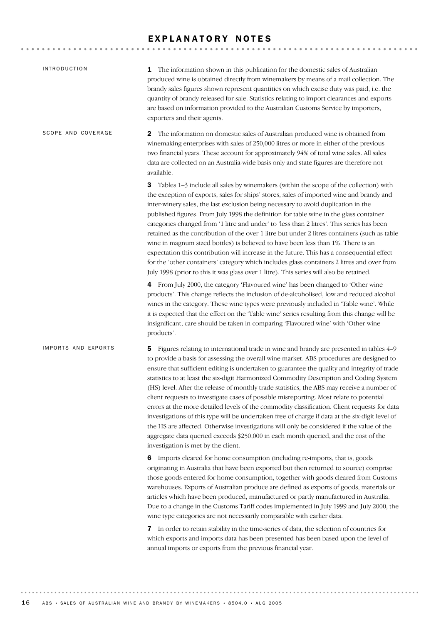### EXPLANATORY NOTES

| <b>INTRODUCTION</b> | 1 The information shown in this publication for the domestic sales of Australian<br>produced wine is obtained directly from winemakers by means of a mail collection. The<br>brandy sales figures shown represent quantities on which excise duty was paid, i.e. the<br>quantity of brandy released for sale. Statistics relating to import clearances and exports<br>are based on information provided to the Australian Customs Service by importers,<br>exporters and their agents.                                                                                                                                                                                                                                                                                                                                                                                                                                                                                                                     |
|---------------------|------------------------------------------------------------------------------------------------------------------------------------------------------------------------------------------------------------------------------------------------------------------------------------------------------------------------------------------------------------------------------------------------------------------------------------------------------------------------------------------------------------------------------------------------------------------------------------------------------------------------------------------------------------------------------------------------------------------------------------------------------------------------------------------------------------------------------------------------------------------------------------------------------------------------------------------------------------------------------------------------------------|
| SCOPE AND COVERAGE  | $\mathbf 2$<br>The information on domestic sales of Australian produced wine is obtained from<br>winemaking enterprises with sales of 250,000 litres or more in either of the previous<br>two financial years. These account for approximately 94% of total wine sales. All sales<br>data are collected on an Australia-wide basis only and state figures are therefore not<br>available.                                                                                                                                                                                                                                                                                                                                                                                                                                                                                                                                                                                                                  |
|                     | 3<br>Tables 1-3 include all sales by winemakers (within the scope of the collection) with<br>the exception of exports, sales for ships' stores, sales of imported wine and brandy and<br>inter-winery sales, the last exclusion being necessary to avoid duplication in the<br>published figures. From July 1998 the definition for table wine in the glass container<br>categories changed from '1 litre and under' to 'less than 2 litres'. This series has been<br>retained as the contribution of the over 1 litre but under 2 litres containers (such as table<br>wine in magnum sized bottles) is believed to have been less than 1%. There is an<br>expectation this contribution will increase in the future. This has a consequential effect<br>for the 'other containers' category which includes glass containers 2 litres and over from<br>July 1998 (prior to this it was glass over 1 litre). This series will also be retained.                                                             |
|                     | 4 From July 2000, the category 'Flavoured wine' has been changed to 'Other wine<br>products'. This change reflects the inclusion of de-alcoholised, low and reduced alcohol<br>wines in the category. These wine types were previously included in 'Table wine'. While<br>it is expected that the effect on the 'Table wine' series resulting from this change will be<br>insignificant, care should be taken in comparing 'Flavoured wine' with 'Other wine<br>products'.                                                                                                                                                                                                                                                                                                                                                                                                                                                                                                                                 |
| IMPORTS AND EXPORTS | Figures relating to international trade in wine and brandy are presented in tables 4–9<br>5.<br>to provide a basis for assessing the overall wine market. ABS procedures are designed to<br>ensure that sufficient editing is undertaken to guarantee the quality and integrity of trade<br>statistics to at least the six-digit Harmonized Commodity Description and Coding System<br>(HS) level. After the release of monthly trade statistics, the ABS may receive a number of<br>client requests to investigate cases of possible misreporting. Most relate to potential<br>errors at the more detailed levels of the commodity classification. Client requests for data<br>investigations of this type will be undertaken free of charge if data at the six-digit level of<br>the HS are affected. Otherwise investigations will only be considered if the value of the<br>aggregate data queried exceeds \$250,000 in each month queried, and the cost of the<br>investigation is met by the client. |
|                     | 6 Imports cleared for home consumption (including re-imports, that is, goods<br>originating in Australia that have been exported but then returned to source) comprise<br>those goods entered for home consumption, together with goods cleared from Customs<br>warehouses. Exports of Australian produce are defined as exports of goods, materials or<br>articles which have been produced, manufactured or partly manufactured in Australia.<br>Due to a change in the Customs Tariff codes implemented in July 1999 and July 2000, the<br>wine type categories are not necessarily comparable with earlier data.                                                                                                                                                                                                                                                                                                                                                                                       |
|                     | 7 In order to retain stability in the time-series of data, the selection of countries for<br>which exports and imports data has been presented has been based upon the level of<br>annual imports or exports from the previous financial year.                                                                                                                                                                                                                                                                                                                                                                                                                                                                                                                                                                                                                                                                                                                                                             |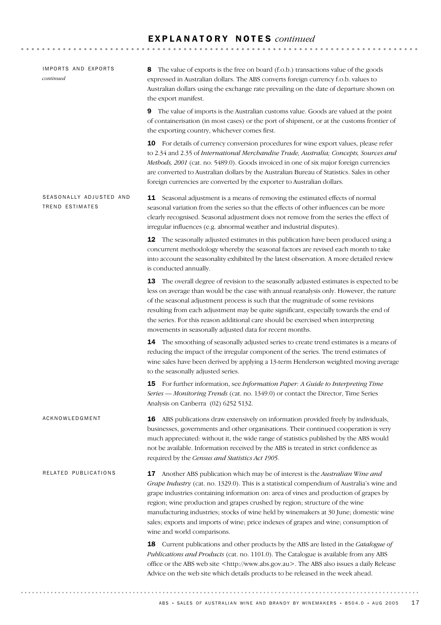### E X P L A N A T O R Y N O T E S *continued*

| IMPORTS AND EXPORTS<br>continued                  | The value of exports is the free on board (f.o.b.) transactions value of the goods<br>8<br>expressed in Australian dollars. The ABS converts foreign currency f.o.b. values to<br>Australian dollars using the exchange rate prevailing on the date of departure shown on<br>the export manifest.                                                                                                                                                                                                                                                                    |  |  |
|---------------------------------------------------|----------------------------------------------------------------------------------------------------------------------------------------------------------------------------------------------------------------------------------------------------------------------------------------------------------------------------------------------------------------------------------------------------------------------------------------------------------------------------------------------------------------------------------------------------------------------|--|--|
|                                                   | The value of imports is the Australian customs value. Goods are valued at the point<br>9<br>of containerisation (in most cases) or the port of shipment, or at the customs frontier of<br>the exporting country, whichever comes first.                                                                                                                                                                                                                                                                                                                              |  |  |
|                                                   | 10 For details of currency conversion procedures for wine export values, please refer<br>to 2.34 and 2.35 of International Merchandise Trade, Australia; Concepts, Sources and<br>Methods, 2001 (cat. no. 5489.0). Goods invoiced in one of six major foreign currencies<br>are converted to Australian dollars by the Australian Bureau of Statistics. Sales in other<br>foreign currencies are converted by the exporter to Australian dollars.                                                                                                                    |  |  |
| SEASONALLY ADJUSTED AND<br><b>TREND ESTIMATES</b> | <b>11</b> Seasonal adjustment is a means of removing the estimated effects of normal<br>seasonal variation from the series so that the effects of other influences can be more<br>clearly recognised. Seasonal adjustment does not remove from the series the effect of<br>irregular influences (e.g. abnormal weather and industrial disputes).                                                                                                                                                                                                                     |  |  |
|                                                   | <b>12</b> The seasonally adjusted estimates in this publication have been produced using a<br>concurrent methodology whereby the seasonal factors are revised each month to take<br>into account the seasonality exhibited by the latest observation. A more detailed review<br>is conducted annually.                                                                                                                                                                                                                                                               |  |  |
|                                                   | 13 The overall degree of revision to the seasonally adjusted estimates is expected to be<br>less on average than would be the case with annual reanalysis only. However, the nature<br>of the seasonal adjustment process is such that the magnitude of some revisions<br>resulting from each adjustment may be quite significant, especially towards the end of<br>the series. For this reason additional care should be exercised when interpreting<br>movements in seasonally adjusted data for recent months.                                                    |  |  |
|                                                   | 14 The smoothing of seasonally adjusted series to create trend estimates is a means of<br>reducing the impact of the irregular component of the series. The trend estimates of<br>wine sales have been derived by applying a 13-term Henderson weighted moving average<br>to the seasonally adjusted series.                                                                                                                                                                                                                                                         |  |  |
|                                                   | 15 For further information, see Information Paper: A Guide to Interpreting Time<br>Series — Monitoring Trends (cat. no. 1349.0) or contact the Director, Time Series<br>Analysis on Canberra (02) 6252 5132.                                                                                                                                                                                                                                                                                                                                                         |  |  |
| ACKNOWLEDGMENT                                    | <b>16</b> ABS publications draw extensively on information provided freely by individuals,<br>businesses, governments and other organisations. Their continued cooperation is very<br>much appreciated: without it, the wide range of statistics published by the ABS would<br>not be available. Information received by the ABS is treated in strict confidence as<br>required by the Census and Statistics Act 1905.                                                                                                                                               |  |  |
| RELATED PUBLICATIONS                              | 17 Another ABS publication which may be of interest is the Australian Wine and<br>Grape Industry (cat. no. 1329.0). This is a statistical compendium of Australia's wine and<br>grape industries containing information on: area of vines and production of grapes by<br>region; wine production and grapes crushed by region; structure of the wine<br>manufacturing industries; stocks of wine held by winemakers at 30 June; domestic wine<br>sales; exports and imports of wine; price indexes of grapes and wine; consumption of<br>wine and world comparisons. |  |  |
|                                                   | 18 Current publications and other products by the ABS are listed in the Catalogue of<br>Publications and Products (cat. no. 1101.0). The Catalogue is available from any ABS<br>office or the ABS web site <http: www.abs.gov.au="">. The ABS also issues a daily Release<br/>Advice on the web site which details products to be released in the week ahead.</http:>                                                                                                                                                                                                |  |  |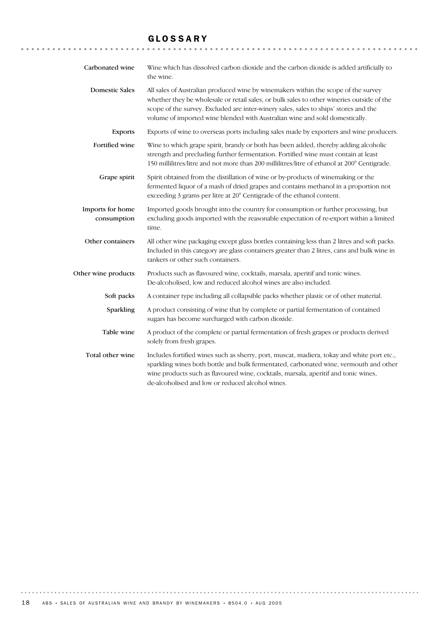### GLOSSARY

| Carbonated wine                 | Wine which has dissolved carbon dioxide and the carbon dioxide is added artificially to<br>the wine.                                                                                                                                                                                                                                                   |
|---------------------------------|--------------------------------------------------------------------------------------------------------------------------------------------------------------------------------------------------------------------------------------------------------------------------------------------------------------------------------------------------------|
| <b>Domestic Sales</b>           | All sales of Australian produced wine by winemakers within the scope of the survey<br>whether they be wholesale or retail sales, or bulk sales to other wineries outside of the<br>scope of the survey. Excluded are inter-winery sales, sales to ships' stores and the<br>volume of imported wine blended with Australian wine and sold domestically. |
| <b>Exports</b>                  | Exports of wine to overseas ports including sales made by exporters and wine producers.                                                                                                                                                                                                                                                                |
| Fortified wine                  | Wine to which grape spirit, brandy or both has been added, thereby adding alcoholic<br>strength and precluding further fermentation. Fortified wine must contain at least<br>150 millilitres/litre and not more than 200 millilitres/litre of ethanol at 200° Centigrade.                                                                              |
| Grape spirit                    | Spirit obtained from the distillation of wine or by-products of winemaking or the<br>fermented liquor of a mash of dried grapes and contains methanol in a proportion not<br>exceeding 3 grams per litre at 20° Centigrade of the ethanol content.                                                                                                     |
| Imports for home<br>consumption | Imported goods brought into the country for consumption or further processing, but<br>excluding goods imported with the reasonable expectation of re-export within a limited<br>time.                                                                                                                                                                  |
| Other containers                | All other wine packaging except glass bottles containing less than 2 litres and soft packs.<br>Included in this category are glass containers greater than 2 litres, cans and bulk wine in<br>tankers or other such containers.                                                                                                                        |
| Other wine products             | Products such as flavoured wine, cocktails, marsala, aperitif and tonic wines.<br>De-alcoholised, low and reduced alcohol wines are also included.                                                                                                                                                                                                     |
| Soft packs                      | A container type including all collapsible packs whether plastic or of other material.                                                                                                                                                                                                                                                                 |
| Sparkling                       | A product consisting of wine that by complete or partial fermentation of contained<br>sugars has become surcharged with carbon dioxide.                                                                                                                                                                                                                |
| Table wine                      | A product of the complete or partial fermentation of fresh grapes or products derived<br>solely from fresh grapes.                                                                                                                                                                                                                                     |
| Total other wine                | Includes fortified wines such as sherry, port, muscat, madiera, tokay and white port etc.,<br>sparkling wines both bottle and bulk fermentated, carbonated wine, vermouth and other<br>wine products such as flavoured wine, cocktails, marsala, aperitif and tonic wines,<br>de-alcoholised and low or reduced alcohol wines.                         |